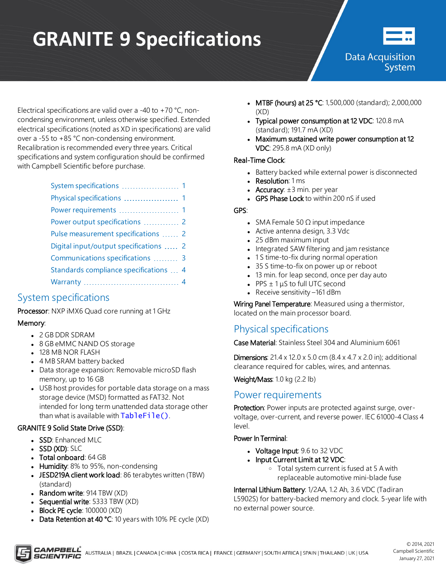# **GRANITE 9 Specifications**



**Data Acquisition** System

Electrical specifications are valid over a -40 to +70 °C, noncondensing environment, unless otherwise specified. Extended electrical specifications (noted as XD in specifications) are valid over a -55 to +85 °C non-condensing environment. Recalibration is recommended every three years. Critical specifications and system configuration should be confirmed with Campbell Scientific before purchase.

| Physical specifications  1             |
|----------------------------------------|
| Power requirements  1                  |
| Power output specifications  2         |
| Pulse measurement specifications  2    |
| Digital input/output specifications  2 |
| Communications specifications  3       |
| Standards compliance specifications  4 |
|                                        |

# <span id="page-0-0"></span>System specifications

Processor: NXP iMX6 Quad core running at 1 GHz

## Memory:

- 2 GB DDR SDRAM
- 8 GB eMMC NAND OS storage
- 128 MB NOR FLASH
- 4 MB SRAM battery backed
- Data storage expansion: Removable microSD flash memory, up to 16 GB
- USB host provides for portable data storage on a mass storage device (MSD) formatted as FAT32. Not intended for long term unattended data storage other than what is available with  $TableFile()$ .

## GRANITE 9 Solid State Drive (SSD):

- SSD: Enhanced MLC
- $-SSD (XD)$ : SLC
- Total onboard: 64 GB
- Humidity: 8% to 95%, non-condensing
- JESD219A client work load: 86 terabytes written (TBW) (standard)
- Random write:  $914$  TBW  $(XD)$
- **Sequential write: 5333 TBW (XD)**
- Block PE cycle:  $100000$   $(XD)$
- Data Retention at 40 °C: 10 years with 10% PE cycle (XD)
- MTBF (hours) at 25 °C: 1,500,000 (standard); 2,000,000 (XD)
- Typical power consumption at 12 VDC: 120.8 mA (standard); 191.7 mA (XD)
- Maximum sustained write power consumption at 12 VDC: 295.8 mA (XD only)

## Real-Time Clock:

- Battery backed while external power is disconnected
- Resolution: 1 ms
- Accuracy:  $\pm 3$  min. per year
- GPS Phase Lock to within 200 nS if used

## GPS:

- SMA Female 50  $\Omega$  input impedance
- Active antenna design, 3.3 Vdc
- 25 dBm maximum input
- Integrated SAW filtering and jam resistance
- 1 S time-to-fix during normal operation
- 35 S time-to-fix on power up or reboot
- 13 min. for leap second, once per day auto
- PPS  $\pm 1 \mu$ S to full UTC second
- Receive sensitivity -161 dBm

Wiring Panel Temperature: Measured using a thermistor, located on the main processor board.

# <span id="page-0-1"></span>Physical specifications

Case Material: Stainless Steel 304 and Aluminium 6061

**Dimensions:**  $21.4 \times 12.0 \times 5.0$  cm  $(8.4 \times 4.7 \times 2.0$  in); additional clearance required for cables, wires, and antennas.

<span id="page-0-2"></span>Weight/Mass: 1.0 kg (2.2 lb)

## Power requirements

Protection: Power inputs are protected against surge, overvoltage, over-current, and reverse power. IEC 61000-4 Class 4 level.

## Power In Terminal:

- Voltage Input: 9.6 to 32 VDC
- Input Current Limit at 12 VDC:
	- <sup>o</sup> Total system current is fused at 5 A with replaceable automotive mini-blade fuse

Internal Lithium Battery: 1/2AA, 1.2 Ah, 3.6 VDC (Tadiran L5902S) for battery-backed memory and clock. 5-year life with no external power source.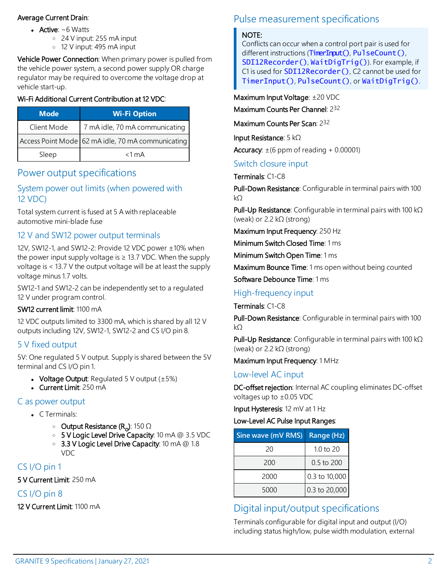### Average Current Drain:

- Active:  $~6$  Watts
	- <sup>o</sup> 24 V input: 255 mA input
	- <sup>o</sup> 12 V input: 495 mA input

Vehicle Power Connection: When primary power is pulled from the vehicle power system, a second power supply OR charge regulator may be required to overcome the voltage drop at vehicle start-up.

#### Wi-Fi Additional Current Contribution at 12 VDC:

| Mode <sup>'</sup> | <b>Wi-Fi Option</b>                               |
|-------------------|---------------------------------------------------|
| Client Mode       | 7 mA idle, 70 mA communicating                    |
|                   | Access Point Mode 62 mA idle, 70 mA communicating |
| Sleep             | $<$ 1 mA                                          |

# <span id="page-1-0"></span>Power output specifications

## System power out limits (when powered with 12 VDC)

Total system current is fused at 5 A with replaceable automotive mini-blade fuse

## 12 V and SW12 power output terminals

12V, SW12-1, and SW12-2: Provide 12 VDC power ±10% when the power input supply voltage is  $\geq$  13.7 VDC. When the supply voltage is < 13.7 V the output voltage will be at least the supply voltage minus 1.7 volts.

SW12-1 and SW12-2 can be independently set to a regulated 12 V under program control.

#### SW12 current limit: 1100 mA

12 VDC outputs limited to 3300 mA, which is shared by all 12 V outputs including 12V, SW12-1, SW12-2 and CS I/O pin 8.

## 5 V fixed output

5V: One regulated 5 V output. Supply is shared between the 5V terminal and CS I/O pin 1.

- Voltage Output: Regulated 5 V output  $(\pm 5\%)$
- $\bullet$  Current Limit: 250 mA

## C as power output

- $C$  Terminals:
	- ∘ Output Resistance (R<sub>o</sub>): 150 Ω
	- <sup>o</sup> 5 V Logic Level Drive Capacity: 10 mA @ 3.5 VDC
	- <sup>o</sup> 3.3 V Logic Level Drive Capacity: 10 mA @ 1.8 VDC

## CS I/O pin 1

5 V Current Limit: 250 mA

## CS I/O pin 8

12 V Current Limit: 1100 mA

# <span id="page-1-1"></span>Pulse measurement specifications

#### NOTE:

Conflicts can occur when a control port pair is used for different instructions (TimerInput(), PulseCount(), SDI12Recorder(), WaitDigTrig()). For example, if C1 is used for **SDI12Recorder()**, C2 cannot be used for TimerInput(), PulseCount(), or WaitDigTrig().

Maximum Input Voltage: ±20 VDC

Maximum Counts Per Channel: 232

Maximum Counts Per Scan: 232

Input Resistance: 5 kΩ

Accuracy:  $\pm$  (6 ppm of reading + 0.00001)

Switch closure input

Terminals: C1-C8

Pull-Down Resistance: Configurable in terminal pairs with 100 kΩ

Pull-Up Resistance: Configurable in terminal pairs with 100 kΩ (weak) or 2.2 kΩ (strong)

Maximum Input Frequency: 250 Hz

Minimum Switch Closed Time: 1 ms

Minimum Switch Open Time: 1 ms

Maximum Bounce Time: 1 ms open without being counted

Software Debounce Time: 1 ms

## High-frequency input

Terminals: C1-C8

Pull-Down Resistance: Configurable in terminal pairs with 100 kΩ

Pull-Up Resistance: Configurable in terminal pairs with 100 kΩ (weak) or 2.2 kΩ (strong)

Maximum Input Frequency: 1 MHz

## Low-level AC input

DC-offset rejection: Internal AC coupling eliminates DC-offset voltages up to ±0.05 VDC

Input Hysteresis: 12 mV at 1 Hz

#### Low-Level AC Pulse Input Ranges:

| Sine wave (mV RMS) | Range (Hz)    |
|--------------------|---------------|
| 20                 | $1.0$ to $20$ |
| 200                | 0.5 to 200    |
| 2000               | 0.3 to 10,000 |
| 5000               | 0.3 to 20,000 |

# <span id="page-1-2"></span>Digital input/output specifications

Terminals configurable for digital input and output (I/O) including status high/low, pulse width modulation, external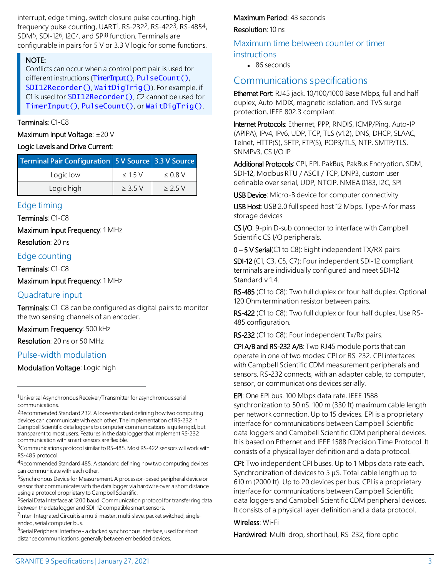interrupt, edge timing, switch closure pulse counting, highfrequency pulse counting, UART<sup>1</sup>, RS-232<sup>2</sup>, RS-422<sup>3</sup>, RS-485<sup>4</sup>, SDM<sup>5</sup>, SDI-126, I2C7, and SPI<sup>8</sup> function. Terminals are configurable in pairs for 5 V or 3.3 V logic for some functions.

#### NOTE:

Conflicts can occur when a control port pair is used for different instructions (TimerInput(), PulseCount(), SDI12Recorder(), WaitDigTrig()). For example, if C1 is used for **SDI12Recorder()**, C2 cannot be used for TimerInput(), PulseCount(), or WaitDigTrig().

#### Terminals: C1-C8

Maximum Input Voltage: ±20 V

#### Logic Levels and Drive Current:

| Terminal Pair Configuration 5V Source 3.3 V Source |              |              |
|----------------------------------------------------|--------------|--------------|
| Logic low                                          | < 15V        | $\leq 0.8$ V |
| Logic high                                         | $\geq$ 3.5 V | > 2.5V       |

#### Edge timing

Terminals: C1-C8

Maximum Input Frequency: 1 MHz

Resolution: 20 ns

#### Edge counting

Terminals: C1-C8

Maximum Input Frequency: 1 MHz

#### Quadrature input

Terminals: C1-C8 can be configured as digital pairs to monitor the two sensing channels of an encoder.

#### Maximum Frequency: 500 kHz

Resolution: 20 ns or 50 MHz

## Pulse-width modulation

Modulation Voltage: Logic high

<sup>4</sup>Recommended Standard 485. A standard defining how two computing devices can communicate with each other.

<sup>5</sup>Synchronous Device for Measurement. A processor-based peripheral device or sensor that communicates with the data logger via hardwire over a short distance using a protocol proprietary to Campbell Scientific.

<sup>6</sup>Serial Data Interface at 1200 baud. Communication protocol for transferring data between the data logger and SDI-12 compatible smart sensors.

7Inter-Integrated Circuit is a multi-master, multi-slave, packet switched, singleended, serial computer bus.

<sup>8</sup>Serial Peripheral Interface - a clocked synchronous interface, used for short distance communications, generally between embedded devices.

#### Maximum Period: 43 seconds

#### Resolution: 10 ns

Maximum time between counter or timer instructions

 $-86$  seconds

## <span id="page-2-0"></span>Communications specifications

Ethernet Port: RJ45 jack, 10/100/1000 Base Mbps, full and half duplex, Auto-MDIX, magnetic isolation, and TVS surge protection, IEEE 802.3 compliant.

Internet Protocols: Ethernet, PPP, RNDIS, ICMP/Ping, Auto-IP (APIPA), IPv4, IPv6, UDP, TCP, TLS (v1.2), DNS, DHCP, SLAAC, Telnet, HTTP(S), SFTP, FTP(S), POP3/TLS, NTP, SMTP/TLS, SNMPv3, CS I/O IP

Additional Protocols: CPI, EPI, PakBus, PakBus Encryption, SDM, SDI-12, Modbus RTU / ASCII / TCP, DNP3, custom user definable over serial, UDP, NTCIP, NMEA 0183, I2C, SPI

USB Device: Micro-B device for computer connectivity

USB Host: USB 2.0 full speed host 12 Mbps, Type-A for mass storage devices

CS I/O: 9-pin D-sub connector to interface with Campbell Scientific CS I/O peripherals.

0 – 5 V Serial(C1 to C8): Eight independent TX/RX pairs

SDI-12 (C1, C3, C5, C7): Four independent SDI-12 compliant terminals are individually configured and meet SDI-12 Standard v 1.4.

RS-485 (C1 to C8): Two full duplex or four half duplex. Optional 120 Ohm termination resistor between pairs.

RS-422 (C1 to C8): Two full duplex or four half duplex. Use RS-485 configuration.

RS-232 (C1 to C8): Four independent Tx/Rx pairs.

CPI A/B and RS-232 A/B: Two RJ45 module ports that can operate in one of two modes: CPI or RS-232. CPI interfaces with Campbell Scientific CDM measurement peripherals and sensors. RS-232 connects, with an adapter cable, to computer, sensor, or communications devices serially.

EPI: One EPI bus. 100 Mbps data rate. IEEE 1588 synchronization to 50 nS. 100 m (330 ft) maximum cable length per network connection. Up to 15 devices. EPI is a proprietary interface for communications between Campbell Scientific data loggers and Campbell Scientific CDM peripheral devices. It is based on Ethernet and IEEE 1588 Precision Time Protocol. It consists of a physical layer definition and a data protocol.

CPI: Two independent CPI buses. Up to 1 Mbps data rate each. Synchronization of devices to 5 μS. Total cable length up to 610 m (2000 ft). Up to 20 devices per bus. CPI is a proprietary interface for communications between Campbell Scientific data loggers and Campbell Scientific CDM peripheral devices. It consists of a physical layer definition and a data protocol.

#### Wireless: Wi-Fi

Hardwired: Multi-drop, short haul, RS-232, fibre optic

<sup>1</sup>Universal Asynchronous Receiver/Transmitter for asynchronous serial communications.

<sup>2</sup>Recommended Standard 232. A loose standard defining how two computing devices can communicate with each other. The implementation of RS-232 in Campbell Scientific data loggers to computer communications is quite rigid, but transparent to most users. Features in the data logger that implement RS-232 communication with smart sensors areflexible.

<sup>3</sup>Communications protocol similar to RS-485. Most RS-422 sensors will work with RS-485 protocol.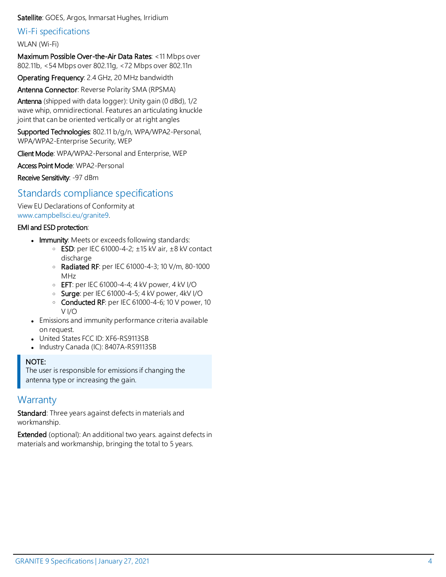#### Satellite: GOES, Argos, Inmarsat Hughes, Irridium

#### Wi-Fi specifications

#### WLAN (Wi-Fi)

Maximum Possible Over-the-Air Data Rates: <11 Mbps over 802.11b, <54 Mbps over 802.11g, <72 Mbps over 802.11n

Operating Frequency: 2.4 GHz, 20 MHz bandwidth

Antenna Connector: Reverse Polarity SMA (RPSMA)

Antenna (shipped with data logger): Unity gain (0 dBd), 1/2 wave whip, omnidirectional. Features an articulating knuckle joint that can be oriented vertically or at right angles

Supported Technologies: 802.11 b/g/n, WPA/WPA2-Personal, WPA/WPA2-Enterprise Security, WEP

Client Mode: WPA/WPA2-Personal and Enterprise, WEP

Access Point Mode: WPA2-Personal

<span id="page-3-0"></span>Receive Sensitivity: -97 dBm

## Standards compliance specifications

View EU Declarations of Conformity at [www.campbellsci.](https://www.campbellsci.com/granite9#documents_)eu/granite9.

#### EMI and ESD protection:

- Immunity: Meets or exceeds following standards:
	- $\circ$  ESD: per IEC 61000-4-2;  $\pm$ 15 kV air,  $\pm$ 8 kV contact discharge
	- <sup>o</sup> Radiated RF: per IEC 61000-4-3; 10 V/m, 80-1000 MHz
	- <sup>o</sup> EFT: per IEC 61000-4-4; 4 kV power, 4 kV I/O
	- <sup>o</sup> Surge: per IEC 61000-4-5; 4 kV power, 4kV I/O
	- o Conducted RF: per IEC 61000-4-6; 10 V power, 10 V I/O
- Emissions and immunity performance criteria available on request.
- United States FCC ID: XF6-RS9113SB
- Industry Canada (IC): 8407A-RS9113SB

#### NOTE:

The user is responsible for emissions if changing the antenna type or increasing the gain.

## <span id="page-3-1"></span>**Warranty**

Standard: Three years against defects in materials and workmanship.

Extended (optional): An additional two years. against defects in materials and workmanship, bringing the total to 5 years.